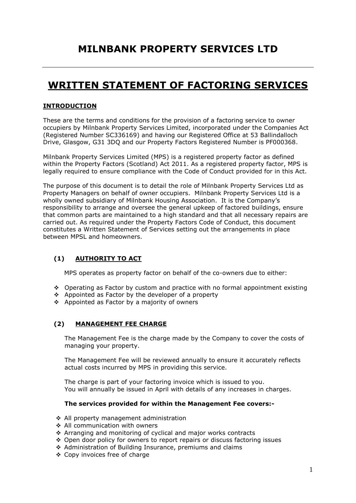# **WRITTEN STATEMENT OF FACTORING SERVICES**

### **INTRODUCTION**

These are the terms and conditions for the provision of a factoring service to owner occupiers by Milnbank Property Services Limited, incorporated under the Companies Act (Registered Number SC336169) and having our Registered Office at 53 Ballindalloch Drive, Glasgow, G31 3DQ and our Property Factors Registered Number is PF000368.

Milnbank Property Services Limited (MPS) is a registered property factor as defined within the Property Factors (Scotland) Act 2011. As a registered property factor, MPS is legally required to ensure compliance with the Code of Conduct provided for in this Act.

The purpose of this document is to detail the role of Milnbank Property Services Ltd as Property Managers on behalf of owner occupiers. Milnbank Property Services Ltd is a wholly owned subsidiary of Milnbank Housing Association. It is the Company's responsibility to arrange and oversee the general upkeep of factored buildings, ensure that common parts are maintained to a high standard and that all necessary repairs are carried out. As required under the Property Factors Code of Conduct, this document constitutes a Written Statement of Services setting out the arrangements in place between MPSL and homeowners.

### **(1) AUTHORITY TO ACT**

MPS operates as property factor on behalf of the co-owners due to either:

- $\div$  Operating as Factor by custom and practice with no formal appointment existing
- Appointed as Factor by the developer of a property
- ❖ Appointed as Factor by a majority of owners

### **(2) MANAGEMENT FEE CHARGE**

The Management Fee is the charge made by the Company to cover the costs of managing your property.

The Management Fee will be reviewed annually to ensure it accurately reflects actual costs incurred by MPS in providing this service.

The charge is part of your factoring invoice which is issued to you. You will annually be issued in April with details of any increases in charges.

#### **The services provided for within the Management Fee covers:-**

- All property management administration
- All communication with owners
- Arranging and monitoring of cyclical and major works contracts
- $\cdot$  Open door policy for owners to report repairs or discuss factoring issues
- Administration of Building Insurance, premiums and claims
- Copy invoices free of charge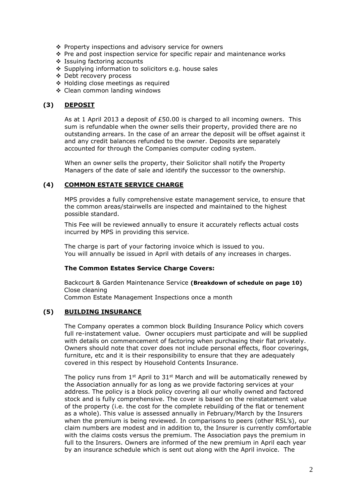- Property inspections and advisory service for owners
- $\cdot \cdot$  Pre and post inspection service for specific repair and maintenance works
- Issuing factoring accounts
- ❖ Supplying information to solicitors e.g. house sales
- Debt recovery process
- Holding close meetings as required
- Clean common landing windows

### **(3) DEPOSIT**

As at 1 April 2013 a deposit of £50.00 is charged to all incoming owners. This sum is refundable when the owner sells their property, provided there are no outstanding arrears. In the case of an arrear the deposit will be offset against it and any credit balances refunded to the owner. Deposits are separately accounted for through the Companies computer coding system.

When an owner sells the property, their Solicitor shall notify the Property Managers of the date of sale and identify the successor to the ownership.

### **(4) COMMON ESTATE SERVICE CHARGE**

MPS provides a fully comprehensive estate management service, to ensure that the common areas/stairwells are inspected and maintained to the highest possible standard.

This Fee will be reviewed annually to ensure it accurately reflects actual costs incurred by MPS in providing this service.

The charge is part of your factoring invoice which is issued to you. You will annually be issued in April with details of any increases in charges.

### **The Common Estates Service Charge Covers:**

Backcourt & Garden Maintenance Service **(Breakdown of schedule on page 10)** Close cleaning Common Estate Management Inspections once a month

### **(5) BUILDING INSURANCE**

The Company operates a common block Building Insurance Policy which covers full re-instatement value. Owner occupiers must participate and will be supplied with details on commencement of factoring when purchasing their flat privately. Owners should note that cover does not include personal effects, floor coverings, furniture, etc and it is their responsibility to ensure that they are adequately covered in this respect by Household Contents Insurance.

The policy runs from  $1^{st}$  April to  $31^{st}$  March and will be automatically renewed by the Association annually for as long as we provide factoring services at your address. The policy is a block policy covering all our wholly owned and factored stock and is fully comprehensive. The cover is based on the reinstatement value of the property (i.e. the cost for the complete rebuilding of the flat or tenement as a whole). This value is assessed annually in February/March by the Insurers when the premium is being reviewed. In comparisons to peers (other RSL's), our claim numbers are modest and in addition to, the Insurer is currently comfortable with the claims costs versus the premium. The Association pays the premium in full to the Insurers. Owners are informed of the new premium in April each year by an insurance schedule which is sent out along with the April invoice. The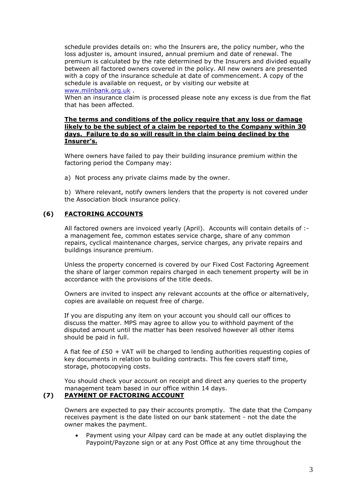schedule provides details on: who the Insurers are, the policy number, who the loss adjuster is, amount insured, annual premium and date of renewal. The premium is calculated by the rate determined by the Insurers and divided equally between all factored owners covered in the policy. All new owners are presented with a copy of the insurance schedule at date of commencement. A copy of the schedule is available on request, or by visiting our website at [www.milnbank.org.uk](http://www.milnbank.org.uk/) .

When an insurance claim is processed please note any excess is due from the flat that has been affected.

#### **The terms and conditions of the policy require that any loss or damage likely to be the subject of a claim be reported to the Company within 30 days. Failure to do so will result in the claim being declined by the Insurer's.**

Where owners have failed to pay their building insurance premium within the factoring period the Company may:

a) Not process any private claims made by the owner.

b) Where relevant, notify owners lenders that the property is not covered under the Association block insurance policy.

### **(6) FACTORING ACCOUNTS**

All factored owners are invoiced yearly (April). Accounts will contain details of :a management fee, common estates service charge, share of any common repairs, cyclical maintenance charges, service charges, any private repairs and buildings insurance premium.

Unless the property concerned is covered by our Fixed Cost Factoring Agreement the share of larger common repairs charged in each tenement property will be in accordance with the provisions of the title deeds.

Owners are invited to inspect any relevant accounts at the office or alternatively, copies are available on request free of charge.

If you are disputing any item on your account you should call our offices to discuss the matter. MPS may agree to allow you to withhold payment of the disputed amount until the matter has been resolved however all other items should be paid in full.

A flat fee of  $£50 + VA$ T will be charged to lending authorities requesting copies of key documents in relation to building contracts. This fee covers staff time, storage, photocopying costs.

You should check your account on receipt and direct any queries to the property management team based in our office within 14 days.

#### **(7) PAYMENT OF FACTORING ACCOUNT**

Owners are expected to pay their accounts promptly. The date that the Company receives payment is the date listed on our bank statement - not the date the owner makes the payment.

 Payment using your Allpay card can be made at any outlet displaying the Paypoint/Payzone sign or at any Post Office at any time throughout the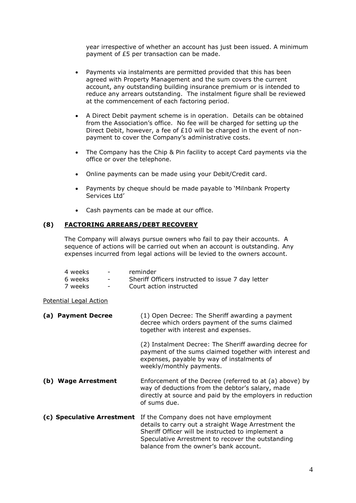year irrespective of whether an account has just been issued. A minimum payment of £5 per transaction can be made.

- Payments via instalments are permitted provided that this has been agreed with Property Management and the sum covers the current account, any outstanding building insurance premium or is intended to reduce any arrears outstanding. The instalment figure shall be reviewed at the commencement of each factoring period.
- A Direct Debit payment scheme is in operation. Details can be obtained from the Association's office. No fee will be charged for setting up the Direct Debit, however, a fee of £10 will be charged in the event of nonpayment to cover the Company's administrative costs.
- The Company has the Chip & Pin facility to accept Card payments via the office or over the telephone.
- Online payments can be made using your Debit/Credit card.
- Payments by cheque should be made payable to 'Milnbank Property Services Ltd'
- Cash payments can be made at our office.

### **(8) FACTORING ARREARS/DEBT RECOVERY**

The Company will always pursue owners who fail to pay their accounts. A sequence of actions will be carried out when an account is outstanding. Any expenses incurred from legal actions will be levied to the owners account.

| 4 weeks | $\overline{\phantom{a}}$ | reminder                                          |
|---------|--------------------------|---------------------------------------------------|
| 6 weeks | $\overline{\phantom{0}}$ | Sheriff Officers instructed to issue 7 day letter |
| 7 weeks |                          | Court action instructed                           |

Potential Legal Action

| <b>Payment Decree</b><br>(a)  | (1) Open Decree: The Sheriff awarding a payment<br>decree which orders payment of the sums claimed<br>together with interest and expenses.                                                                                                         |
|-------------------------------|----------------------------------------------------------------------------------------------------------------------------------------------------------------------------------------------------------------------------------------------------|
|                               | (2) Instalment Decree: The Sheriff awarding decree for<br>payment of the sums claimed together with interest and<br>expenses, payable by way of instalments of<br>weekly/monthly payments.                                                         |
| <b>Wage Arrestment</b><br>(b) | Enforcement of the Decree (referred to at (a) above) by<br>way of deductions from the debtor's salary, made<br>directly at source and paid by the employers in reduction<br>of sums due.                                                           |
| (c) Speculative Arrestment    | If the Company does not have employment<br>details to carry out a straight Wage Arrestment the<br>Sheriff Officer will be instructed to implement a<br>Speculative Arrestment to recover the outstanding<br>balance from the owner's bank account. |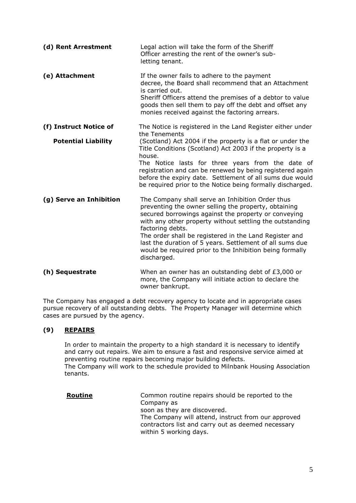| (d) Rent Arrestment        | Legal action will take the form of the Sheriff<br>Officer arresting the rent of the owner's sub-<br>letting tenant.                                                                                                                                                                                                                                                                                                                               |
|----------------------------|---------------------------------------------------------------------------------------------------------------------------------------------------------------------------------------------------------------------------------------------------------------------------------------------------------------------------------------------------------------------------------------------------------------------------------------------------|
| (e) Attachment             | If the owner fails to adhere to the payment<br>decree, the Board shall recommend that an Attachment<br>is carried out.<br>Sheriff Officers attend the premises of a debtor to value<br>goods then sell them to pay off the debt and offset any<br>monies received against the factoring arrears.                                                                                                                                                  |
| (f) Instruct Notice of     | The Notice is registered in the Land Register either under<br>the Tenements                                                                                                                                                                                                                                                                                                                                                                       |
| <b>Potential Liability</b> | (Scotland) Act 2004 if the property is a flat or under the<br>Title Conditions (Scotland) Act 2003 if the property is a<br>house.<br>The Notice lasts for three years from the date of<br>registration and can be renewed by being registered again<br>before the expiry date. Settlement of all sums due would<br>be required prior to the Notice being formally discharged.                                                                     |
| (g) Serve an Inhibition    | The Company shall serve an Inhibition Order thus<br>preventing the owner selling the property, obtaining<br>secured borrowings against the property or conveying<br>with any other property without settling the outstanding<br>factoring debts.<br>The order shall be registered in the Land Register and<br>last the duration of 5 years. Settlement of all sums due<br>would be required prior to the Inhibition being formally<br>discharged. |
| (h) Sequestrate            | When an owner has an outstanding debt of £3,000 or<br>more, the Company will initiate action to declare the<br>owner bankrupt.                                                                                                                                                                                                                                                                                                                    |

The Company has engaged a debt recovery agency to locate and in appropriate cases pursue recovery of all outstanding debts. The Property Manager will determine which cases are pursued by the agency.

### **(9) REPAIRS**

In order to maintain the property to a high standard it is necessary to identify and carry out repairs. We aim to ensure a fast and responsive service aimed at preventing routine repairs becoming major building defects. The Company will work to the schedule provided to Milnbank Housing Association tenants.

| Routine | Common routine repairs should be reported to the<br>Company as<br>soon as they are discovered.                                      |
|---------|-------------------------------------------------------------------------------------------------------------------------------------|
|         | The Company will attend, instruct from our approved<br>contractors list and carry out as deemed necessary<br>within 5 working days. |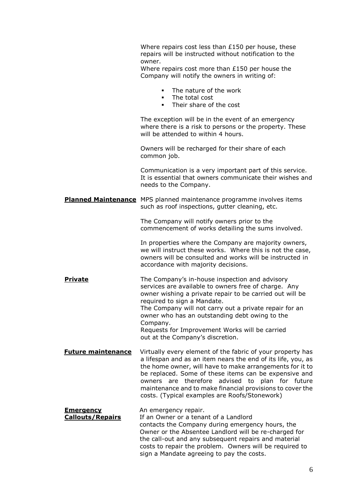Where repairs cost less than £150 per house, these repairs will be instructed without notification to the owner.

Where repairs cost more than £150 per house the Company will notify the owners in writing of:

- The nature of the work
- **The total cost**
- **Their share of the cost**

The exception will be in the event of an emergency where there is a risk to persons or the property. These will be attended to within 4 hours.

Owners will be recharged for their share of each common job.

Communication is a very important part of this service. It is essential that owners communicate their wishes and needs to the Company.

**Planned Maintenance** MPS planned maintenance programme involves items such as roof inspections, gutter cleaning, etc.

> The Company will notify owners prior to the commencement of works detailing the sums involved.

In properties where the Company are majority owners, we will instruct these works. Where this is not the case, owners will be consulted and works will be instructed in accordance with majority decisions.

**Private** The Company's in-house inspection and advisory services are available to owners free of charge. Any owner wishing a private repair to be carried out will be required to sign a Mandate. The Company will not carry out a private repair for an owner who has an outstanding debt owing to the Company. Requests for Improvement Works will be carried out at the Company's discretion.

**Future maintenance** Virtually every element of the fabric of your property has a lifespan and as an item nears the end of its life, you, as the home owner, will have to make arrangements for it to be replaced. Some of these items can be expensive and owners are therefore advised to plan for future maintenance and to make financial provisions to cover the costs. (Typical examples are Roofs/Stonework)

#### **Emergency An emergency repair. Callouts/Repairs** If an Owner or a tenant of a Landlord contacts the Company during emergency hours, the Owner or the Absentee Landlord will be re-charged for the call-out and any subsequent repairs and material costs to repair the problem. Owners will be required to

sign a Mandate agreeing to pay the costs.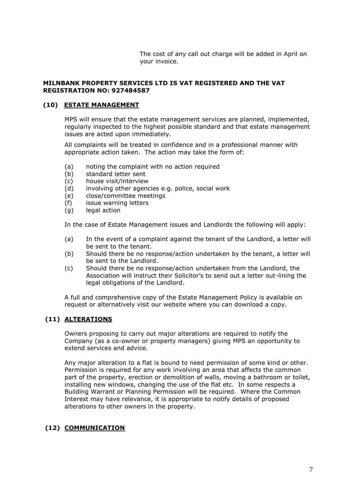The cost of any call out charge will be added in April on your invoice.

#### **MILNBANK PROPERTY SERVICES LTD IS VAT REGISTERED AND THE VAT REGISTRATION NO: 927484587**

### **(10) ESTATE MANAGEMENT**

MPS will ensure that the estate management services are planned, implemented, regularly inspected to the highest possible standard and that estate management issues are acted upon immediately.

All complaints will be treated in confidence and in a professional manner with appropriate action taken. The action may take the form of:

- (a) noting the complaint with no action required
- (b) standard letter sent
- (c) house visit/interview
- (d) involving other agencies e.g. police, social work
- (e) close/committee meetings
- (f) issue warning letters
- (g) legal action

In the case of Estate Management issues and Landlords the following will apply:

- (a) In the event of a complaint against the tenant of the Landlord, a letter will be sent to the tenant.
- (b) Should there be no response/action undertaken by the tenant, a letter will be sent to the Landlord.
- (c) Should there be no response/action undertaken from the Landlord, the Association will instruct their Solicitor's to send out a letter out-lining the legal obligations of the Landlord.

A full and comprehensive copy of the Estate Management Policy is available on request or alternatively visit our website where you can download a copy.

### **(11) ALTERATIONS**

Owners proposing to carry out major alterations are required to notify the Company (as a co-owner or property managers) giving MPS an opportunity to extend services and advice.

Any major alteration to a flat is bound to need permission of some kind or other. Permission is required for any work involving an area that affects the common part of the property, erection or demolition of walls, moving a bathroom or toilet, installing new windows, changing the use of the flat etc. In some respects a Building Warrant or Planning Permission will be required. Where the Common Interest may have relevance, it is appropriate to notify details of proposed alterations to other owners in the property.

### **(12) COMMUNICATION**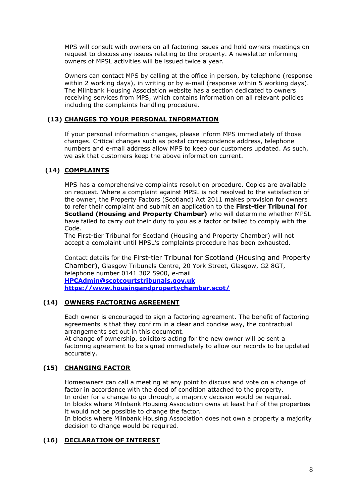MPS will consult with owners on all factoring issues and hold owners meetings on request to discuss any issues relating to the property. A newsletter informing owners of MPSL activities will be issued twice a year.

Owners can contact MPS by calling at the office in person, by telephone (response within 2 working days), in writing or by e-mail (response within 5 working days). The Milnbank Housing Association website has a section dedicated to owners receiving services from MPS, which contains information on all relevant policies including the complaints handling procedure.

### **(13) CHANGES TO YOUR PERSONAL INFORMATION**

If your personal information changes, please inform MPS immediately of those changes. Critical changes such as postal correspondence address, telephone numbers and e-mail address allow MPS to keep our customers updated. As such, we ask that customers keep the above information current.

### **(14) COMPLAINTS**

MPS has a comprehensive complaints resolution procedure. Copies are available on request. Where a complaint against MPSL is not resolved to the satisfaction of the owner, the Property Factors (Scotland) Act 2011 makes provision for owners to refer their complaint and submit an application to the **First-tier Tribunal for Scotland (Housing and Property Chamber)** who will determine whether MPSL have failed to carry out their duty to you as a factor or failed to comply with the Code.

The First-tier Tribunal for Scotland (Housing and Property Chamber) will not accept a complaint until MPSL's complaints procedure has been exhausted.

Contact details for the First-tier Tribunal for Scotland (Housing and Property Chamber), Glasgow Tribunals Centre, 20 York Street, Glasgow, G2 8GT, telephone number 0141 302 5900, e-mail **[HPCAdmin@scotcourtstribunals.gov.uk](mailto:HPCAdmin@scotcourtstribunals.gov.uk) <https://www.housingandpropertychamber.scot/>**

### **(14) OWNERS FACTORING AGREEMENT**

Each owner is encouraged to sign a factoring agreement. The benefit of factoring agreements is that they confirm in a clear and concise way, the contractual arrangements set out in this document.

At change of ownership, solicitors acting for the new owner will be sent a factoring agreement to be signed immediately to allow our records to be updated accurately.

### **(15) CHANGING FACTOR**

Homeowners can call a meeting at any point to discuss and vote on a change of factor in accordance with the deed of condition attached to the property. In order for a change to go through, a majority decision would be required. In blocks where Milnbank Housing Association owns at least half of the properties it would not be possible to change the factor.

In blocks where Milnbank Housing Association does not own a property a majority decision to change would be required.

### **(16) DECLARATION OF INTEREST**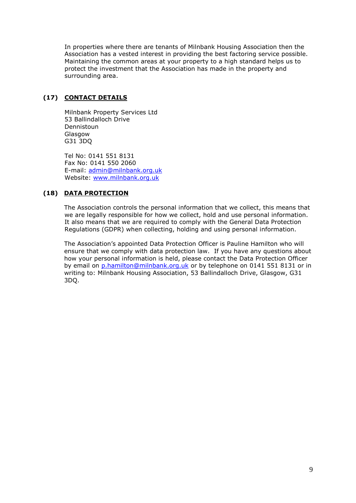In properties where there are tenants of Milnbank Housing Association then the Association has a vested interest in providing the best factoring service possible. Maintaining the common areas at your property to a high standard helps us to protect the investment that the Association has made in the property and surrounding area.

### **(17) CONTACT DETAILS**

Milnbank Property Services Ltd 53 Ballindalloch Drive Dennistoun Glasgow G31 3DQ

Tel No: 0141 551 8131 Fax No: 0141 550 2060 E-mail: [admin@milnbank.org.uk](mailto:admin@milnbank.org.uk) Website: [www.milnbank.org.uk](http://www.milnbank.org.uk/)

### **(18) DATA PROTECTION**

The Association controls the personal information that we collect, this means that we are legally responsible for how we collect, hold and use personal information. It also means that we are required to comply with the General Data Protection Regulations (GDPR) when collecting, holding and using personal information.

The Association's appointed Data Protection Officer is Pauline Hamilton who will ensure that we comply with data protection law. If you have any questions about how your personal information is held, please contact the Data Protection Officer by email on [p.hamilton@milnbank.org.uk](mailto:p.hamilton@milnbank.org.uk) or by telephone on 0141 551 8131 or in writing to: Milnbank Housing Association, 53 Ballindalloch Drive, Glasgow, G31 3DQ.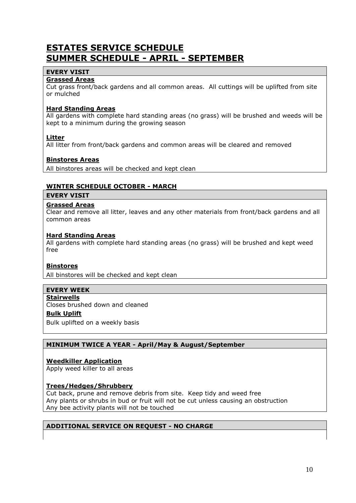## **ESTATES SERVICE SCHEDULE SUMMER SCHEDULE - APRIL - SEPTEMBER**

### **EVERY VISIT**

### **Grassed Areas**

Cut grass front/back gardens and all common areas. All cuttings will be uplifted from site or mulched

### **Hard Standing Areas**

All gardens with complete hard standing areas (no grass) will be brushed and weeds will be kept to a minimum during the growing season

### **Litter**

All litter from front/back gardens and common areas will be cleared and removed

### **Binstores Areas**

All binstores areas will be checked and kept clean

### **WINTER SCHEDULE OCTOBER - MARCH**

#### **EVERY VISIT**

### **Grassed Areas**

Clear and remove all litter, leaves and any other materials from front/back gardens and all common areas

#### **Hard Standing Areas**

All gardens with complete hard standing areas (no grass) will be brushed and kept weed free

#### **Binstores**

All binstores will be checked and kept clean

#### **EVERY WEEK**

### **Stairwells**

Closes brushed down and cleaned

### **Bulk Uplift**

Bulk uplifted on a weekly basis

### **MINIMUM TWICE A YEAR - April/May & August/September**

### **Weedkiller Application**

Apply weed killer to all areas

#### **Trees/Hedges/Shrubbery**

Cut back, prune and remove debris from site. Keep tidy and weed free Any plants or shrubs in bud or fruit will not be cut unless causing an obstruction Any bee activity plants will not be touched

#### **ADDITIONAL SERVICE ON REQUEST - NO CHARGE**